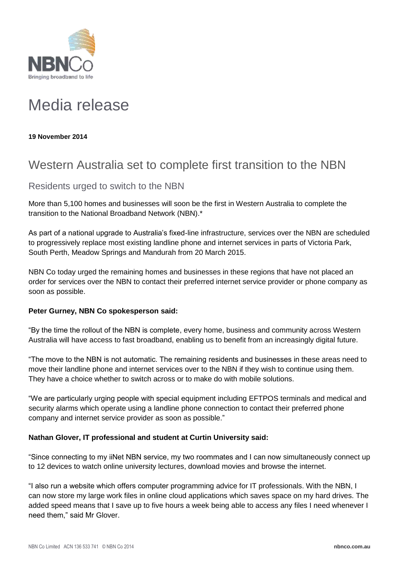

# Media release

**19 November 2014**

## Western Australia set to complete first transition to the NBN

### Residents urged to switch to the NBN

More than 5,100 homes and businesses will soon be the first in Western Australia to complete the transition to the National Broadband Network (NBN).\*

As part of a national upgrade to Australia's fixed-line infrastructure, services over the NBN are scheduled to progressively replace most existing landline phone and internet services in parts of Victoria Park, South Perth, Meadow Springs and Mandurah from 20 March 2015.

NBN Co today urged the remaining homes and businesses in these regions that have not placed an order for services over the NBN to contact their preferred internet service provider or phone company as soon as possible.

#### **Peter Gurney, NBN Co spokesperson said:**

"By the time the rollout of the NBN is complete, every home, business and community across Western Australia will have access to fast broadband, enabling us to benefit from an increasingly digital future.

"The move to the NBN is not automatic. The remaining residents and businesses in these areas need to move their landline phone and internet services over to the NBN if they wish to continue using them. They have a choice whether to switch across or to make do with mobile solutions.

"We are particularly urging people with special equipment including EFTPOS terminals and medical and security alarms which operate using a landline phone connection to contact their preferred phone company and internet service provider as soon as possible."

#### **Nathan Glover, IT professional and student at Curtin University said:**

"Since connecting to my iiNet NBN service, my two roommates and I can now simultaneously connect up to 12 devices to watch online university lectures, download movies and browse the internet.

"I also run a website which offers computer programming advice for IT professionals. With the NBN, I can now store my large work files in online cloud applications which saves space on my hard drives. The added speed means that I save up to five hours a week being able to access any files I need whenever I need them," said Mr Glover.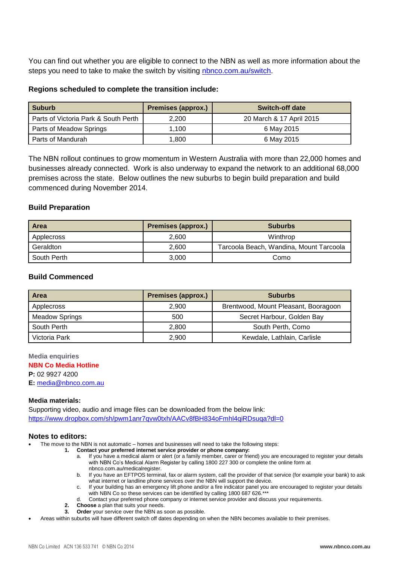You can find out whether you are eligible to connect to the NBN as well as more information about the steps you need to take to make the switch by visiting [nbnco.com.au/switch.](http://www.nbnco.com.au/switch)

#### **Regions scheduled to complete the transition include:**

| <b>Suburb</b>                        | <b>Premises (approx.)</b> | <b>Switch-off date</b>   |
|--------------------------------------|---------------------------|--------------------------|
| Parts of Victoria Park & South Perth | 2.200                     | 20 March & 17 April 2015 |
| Parts of Meadow Springs              | 1.100                     | 6 May 2015               |
| Parts of Mandurah                    | 1.800                     | 6 May 2015               |

The NBN rollout continues to grow momentum in Western Australia with more than 22,000 homes and businesses already connected. Work is also underway to expand the network to an additional 68,000 premises across the state. Below outlines the new suburbs to begin build preparation and build commenced during November 2014.

#### **Build Preparation**

| l Area      | <b>Premises (approx.)</b> | <b>Suburbs</b>                          |
|-------------|---------------------------|-----------------------------------------|
| Applecross  | 2.600                     | Winthrop                                |
| Geraldton   | 2.600                     | Tarcoola Beach, Wandina, Mount Tarcoola |
| South Perth | 3,000                     | Como                                    |

#### **Build Commenced**

| <b>Area</b>           | <b>Premises (approx.)</b> | <b>Suburbs</b>                       |
|-----------------------|---------------------------|--------------------------------------|
| Applecross            | 2.900                     | Brentwood, Mount Pleasant, Booragoon |
| <b>Meadow Springs</b> | 500                       | Secret Harbour, Golden Bay           |
| South Perth           | 2.800                     | South Perth, Como                    |
| Victoria Park         | 2,900                     | Kewdale, Lathlain, Carlisle          |

**Media enquiries NBN Co Media Hotline**

**P:** 02 9927 4200

**E:** [media@nbnco.com.au](mailto:media@nbnco.com.au)

#### **Media materials:**

Supporting video, audio and image files can be downloaded from the below link: <https://www.dropbox.com/sh/pwm1anr7qvw0txh/AACv8fBH834oFmhl4qiRDsuqa?dl=0>

#### **Notes to editors:**

- The move to the NBN is not automatic homes and businesses will need to take the following steps:
	- **1. Contact your preferred internet service provider or phone company:** 
		- a. If you have a medical alarm or alert (or a family member, carer or friend) you are encouraged to register your details with NBN Co's Medical Alarm Register by calling 1800 227 300 or complete the online form at [nbnco.com.au/medicalregister.](http://www.nbnco.com.au/medicalregister)
		- b. If you have an EFTPOS terminal, fax or alarm system, call the provider of that service (for example your bank) to ask what internet or landline phone services over the NBN will support the device.
		- c. If your building has an emergency lift phone and/or a fire indicator panel you are encouraged to register your details with NBN Co so these services can be identified by calling 1800 687 626.\*\*\*
		- Contact your preferred phone company or internet service provider and discuss your requirements.
		- **2. Choose** a plan that suits your needs.
		- **3. Order** your service over the NBN as soon as possible.
- Areas within suburbs will have different switch off dates depending on when the NBN becomes available to their premises.